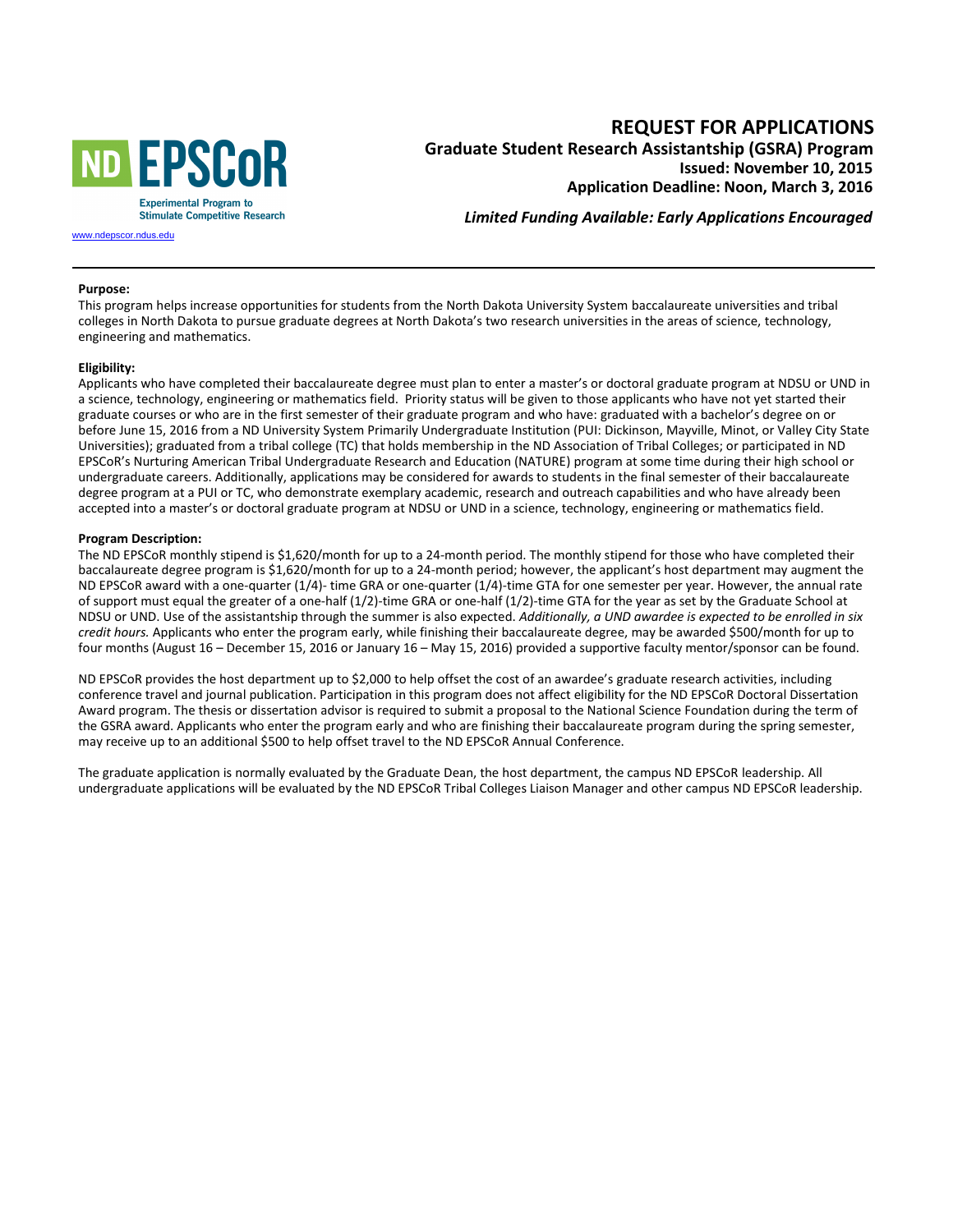

**REQUEST FOR APPLICATIONS Graduate Student Research Assistantship (GSRA) Program Issued: November 10, 2015 Application Deadline: Noon, March 3, 2016** 

*Limited Funding Available: Early Applications Encouraged* 

[www.ndepscor.n](https://www.ndepscor.ndus.edu/)dus.edu

## **Purpose:**

This program helps increase opportunities for students from the North Dakota University System baccalaureate universities and tribal colleges in North Dakota to pursue graduate degrees at North Dakota's two research universities in the areas of science, technology, engineering and mathematics.

## **Eligibility:**

Applicants who have completed their baccalaureate degree must plan to enter a master's or doctoral graduate program at NDSU or UND in a science, technology, engineering or mathematics field. Priority status will be given to those applicants who have not yet started their graduate courses or who are in the first semester of their graduate program and who have: graduated with a bachelor's degree on or before June 15, 2016 from a ND University System Primarily Undergraduate Institution (PUI: Dickinson, Mayville, Minot, or Valley City State Universities); graduated from a tribal college (TC) that holds membership in the ND Association of Tribal Colleges; or participated in ND EPSCoR's Nurturing American Tribal Undergraduate Research and Education (NATURE) program at some time during their high school or undergraduate careers. Additionally, applications may be considered for awards to students in the final semester of their baccalaureate degree program at a PUI or TC, who demonstrate exemplary academic, research and outreach capabilities and who have already been accepted into a master's or doctoral graduate program at NDSU or UND in a science, technology, engineering or mathematics field.

## **Program Description:**

The ND EPSCoR monthly stipend is \$1,620/month for up to a 24-month period. The monthly stipend for those who have completed their baccalaureate degree program is \$1,620/month for up to a 24-month period; however, the applicant's host department may augment the ND EPSCoR award with a one-quarter (1/4)- time GRA or one-quarter (1/4)-time GTA for one semester per year. However, the annual rate of support must equal the greater of a one-half (1/2)-time GRA or one-half (1/2)-time GTA for the year as set by the Graduate School at NDSU or UND. Use of the assistantship through the summer is also expected. *Additionally, a UND awardee is expected to be enrolled in six credit hours.* Applicants who enter the program early, while finishing their baccalaureate degree, may be awarded \$500/month for up to four months (August 16 – December 15, 2016 or January 16 – May 15, 2016) provided a supportive faculty mentor/sponsor can be found.

ND EPSCoR provides the host department up to \$2,000 to help offset the cost of an awardee's graduate research activities, including conference travel and journal publication. Participation in this program does not affect eligibility for the ND EPSCoR Doctoral Dissertation Award program. The thesis or dissertation advisor is required to submit a proposal to the National Science Foundation during the term of the GSRA award. Applicants who enter the program early and who are finishing their baccalaureate program during the spring semester, may receive up to an additional \$500 to help offset travel to the ND EPSCoR Annual Conference.

The graduate application is normally evaluated by the Graduate Dean, the host department, the campus ND EPSCoR leadership. All undergraduate applications will be evaluated by the ND EPSCoR Tribal Colleges Liaison Manager and other campus ND EPSCoR leadership.